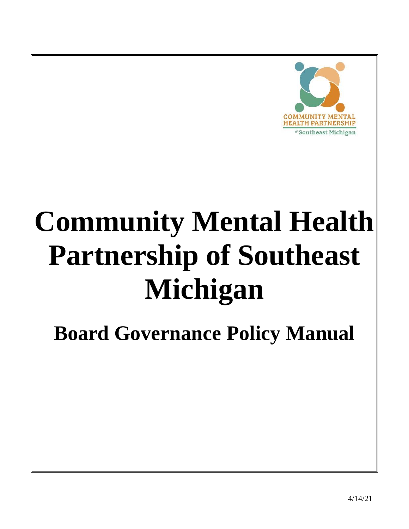

# **Community Mental Health Partnership of Southeast Michigan**

**Board Governance Policy Manual**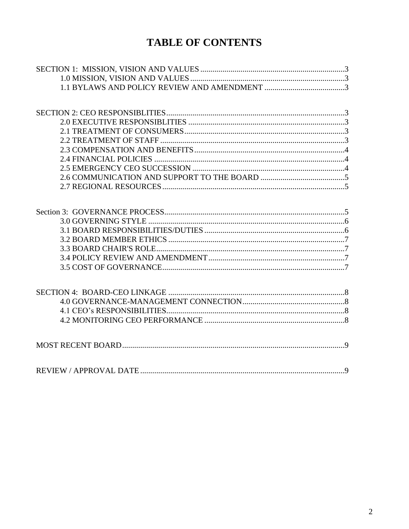## **TABLE OF CONTENTS**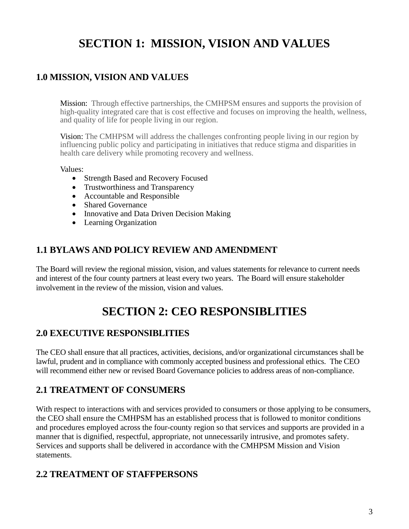# **SECTION 1: MISSION, VISION AND VALUES**

## <span id="page-2-1"></span><span id="page-2-0"></span>**1.0 MISSION, VISION AND VALUES**

Mission: Through effective partnerships, the CMHPSM ensures and supports the provision of high-quality integrated care that is cost effective and focuses on improving the health, wellness, and quality of life for people living in our region.

Vision: The CMHPSM will address the challenges confronting people living in our region by influencing public policy and participating in initiatives that reduce stigma and disparities in health care delivery while promoting recovery and wellness.

Values:

- Strength Based and Recovery Focused
- Trustworthiness and Transparency
- Accountable and Responsible
- Shared Governance
- Innovative and Data Driven Decision Making
- Learning Organization

## <span id="page-2-2"></span>**1.1 BYLAWS AND POLICY REVIEW AND AMENDMENT**

The Board will review the regional mission, vision, and values statements for relevance to current needs and interest of the four county partners at least every two years. The Board will ensure stakeholder involvement in the review of the mission, vision and values.

# **SECTION 2: CEO RESPONSIBLITIES**

#### <span id="page-2-4"></span><span id="page-2-3"></span>**2.0 EXECUTIVE RESPONSIBLITIES**

The CEO shall ensure that all practices, activities, decisions, and/or organizational circumstances shall be lawful, prudent and in compliance with commonly accepted business and professional ethics. The CEO will recommend either new or revised Board Governance policies to address areas of non-compliance.

#### <span id="page-2-5"></span>**2.1 TREATMENT OF CONSUMERS**

With respect to interactions with and services provided to consumers or those applying to be consumers, the CEO shall ensure the CMHPSM has an established process that is followed to monitor conditions and procedures employed across the four-county region so that services and supports are provided in a manner that is dignified, respectful, appropriate, not unnecessarily intrusive, and promotes safety. Services and supports shall be delivered in accordance with the CMHPSM Mission and Vision statements.

## <span id="page-2-6"></span>**2.2 TREATMENT OF STAFFPERSONS**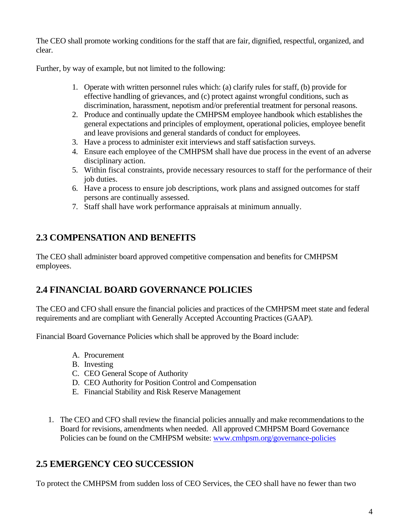The CEO shall promote working conditions for the staff that are fair, dignified, respectful, organized, and clear.

Further, by way of example, but not limited to the following:

- 1. Operate with written personnel rules which: (a) clarify rules for staff, (b) provide for effective handling of grievances, and (c) protect against wrongful conditions, such as discrimination, harassment, nepotism and/or preferential treatment for personal reasons.
- 2. Produce and continually update the CMHPSM employee handbook which establishes the general expectations and principles of employment, operational policies, employee benefit and leave provisions and general standards of conduct for employees.
- 3. Have a process to administer exit interviews and staff satisfaction surveys.
- 4. Ensure each employee of the CMHPSM shall have due process in the event of an adverse disciplinary action.
- 5. Within fiscal constraints, provide necessary resources to staff for the performance of their job duties.
- 6. Have a process to ensure job descriptions, work plans and assigned outcomes for staff persons are continually assessed.
- 7. Staff shall have work performance appraisals at minimum annually.

## <span id="page-3-0"></span>**2.3 COMPENSATION AND BENEFITS**

The CEO shall administer board approved competitive compensation and benefits for CMHPSM employees.

## <span id="page-3-1"></span>**2.4 FINANCIAL BOARD GOVERNANCE POLICIES**

The CEO and CFO shall ensure the financial policies and practices of the CMHPSM meet state and federal requirements and are compliant with Generally Accepted Accounting Practices (GAAP).

Financial Board Governance Policies which shall be approved by the Board include:

- A. Procurement
- B. Investing
- C. CEO General Scope of Authority
- D. CEO Authority for Position Control and Compensation
- E. Financial Stability and Risk Reserve Management
- 1. The CEO and CFO shall review the financial policies annually and make recommendations to the Board for revisions, amendments when needed. All approved CMHPSM Board Governance Policies can be found on the CMHPSM website: [www.cmhpsm.org/governance-policies](http://www.cmhpsm.org/governance-policies)

## <span id="page-3-2"></span>**2.5 EMERGENCY CEO SUCCESSION**

To protect the CMHPSM from sudden loss of CEO Services, the CEO shall have no fewer than two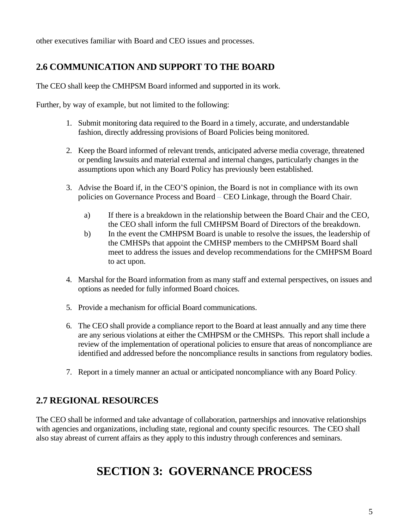other executives familiar with Board and CEO issues and processes.

## <span id="page-4-0"></span>**2.6 COMMUNICATION AND SUPPORT TO THE BOARD**

The CEO shall keep the CMHPSM Board informed and supported in its work.

Further, by way of example, but not limited to the following:

- 1. Submit monitoring data required to the Board in a timely, accurate, and understandable fashion, directly addressing provisions of Board Policies being monitored.
- 2. Keep the Board informed of relevant trends, anticipated adverse media coverage, threatened or pending lawsuits and material external and internal changes, particularly changes in the assumptions upon which any Board Policy has previously been established.
- 3. Advise the Board if, in the CEO'S opinion, the Board is not in compliance with its own policies on Governance Process and Board – CEO Linkage, through the Board Chair.
	- a) If there is a breakdown in the relationship between the Board Chair and the CEO, the CEO shall inform the full CMHPSM Board of Directors of the breakdown.
	- b) In the event the CMHPSM Board is unable to resolve the issues, the leadership of the CMHSPs that appoint the CMHSP members to the CMHPSM Board shall meet to address the issues and develop recommendations for the CMHPSM Board to act upon.
- 4. Marshal for the Board information from as many staff and external perspectives, on issues and options as needed for fully informed Board choices.
- 5. Provide a mechanism for official Board communications.
- 6. The CEO shall provide a compliance report to the Board at least annually and any time there are any serious violations at either the CMHPSM or the CMHSPs. This report shall include a review of the implementation of operational policies to ensure that areas of noncompliance are identified and addressed before the noncompliance results in sanctions from regulatory bodies.
- 7. Report in a timely manner an actual or anticipated noncompliance with any Board Policy.

## <span id="page-4-1"></span>**2.7 REGIONAL RESOURCES**

<span id="page-4-2"></span>The CEO shall be informed and take advantage of collaboration, partnerships and innovative relationships with agencies and organizations, including state, regional and county specific resources. The CEO shall also stay abreast of current affairs as they apply to this industry through conferences and seminars.

## **SECTION 3: GOVERNANCE PROCESS**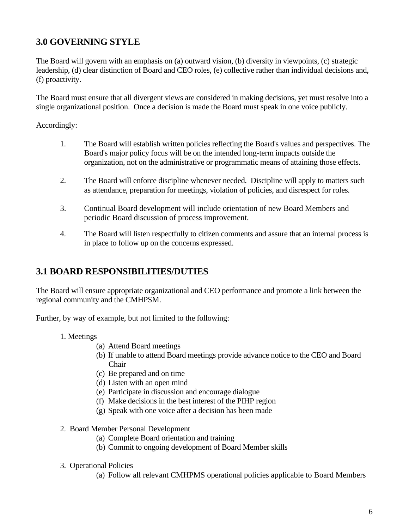## <span id="page-5-0"></span>**3.0 GOVERNING STYLE**

The Board will govern with an emphasis on (a) outward vision, (b) diversity in viewpoints, (c) strategic leadership, (d) clear distinction of Board and CEO roles, (e) collective rather than individual decisions and, (f) proactivity.

The Board must ensure that all divergent views are considered in making decisions, yet must resolve into a single organizational position. Once a decision is made the Board must speak in one voice publicly.

Accordingly:

- 1. The Board will establish written policies reflecting the Board's values and perspectives. The Board's major policy focus will be on the intended long-term impacts outside the organization, not on the administrative or programmatic means of attaining those effects.
- 2. The Board will enforce discipline whenever needed. Discipline will apply to matters such as attendance, preparation for meetings, violation of policies, and disrespect for roles.
- 3. Continual Board development will include orientation of new Board Members and periodic Board discussion of process improvement.
- 4. The Board will listen respectfully to citizen comments and assure that an internal process is in place to follow up on the concerns expressed.

## <span id="page-5-1"></span>**3.1 BOARD RESPONSIBILITIES/DUTIES**

The Board will ensure appropriate organizational and CEO performance and promote a link between the regional community and the CMHPSM.

Further, by way of example, but not limited to the following:

- 1. Meetings
	- (a) Attend Board meetings
	- (b) If unable to attend Board meetings provide advance notice to the CEO and Board Chair
	- (c) Be prepared and on time
	- (d) Listen with an open mind
	- (e) Participate in discussion and encourage dialogue
	- (f) Make decisions in the best interest of the PIHP region
	- (g) Speak with one voice after a decision has been made
- 2. Board Member Personal Development
	- (a) Complete Board orientation and training
	- (b) Commit to ongoing development of Board Member skills
- 3. Operational Policies
	- (a) Follow all relevant CMHPMS operational policies applicable to Board Members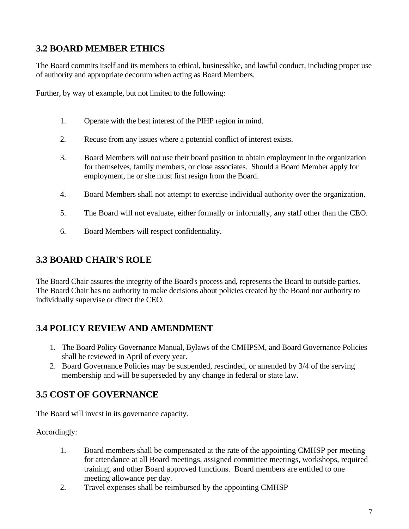## <span id="page-6-0"></span>**3.2 BOARD MEMBER ETHICS**

The Board commits itself and its members to ethical, businesslike, and lawful conduct, including proper use of authority and appropriate decorum when acting as Board Members.

Further, by way of example, but not limited to the following:

- 1. Operate with the best interest of the PIHP region in mind.
- 2. Recuse from any issues where a potential conflict of interest exists.
- 3. Board Members will not use their board position to obtain employment in the organization for themselves, family members, or close associates. Should a Board Member apply for employment, he or she must first resign from the Board.
- 4. Board Members shall not attempt to exercise individual authority over the organization.
- 5. The Board will not evaluate, either formally or informally, any staff other than the CEO.
- 6. Board Members will respect confidentiality.

#### <span id="page-6-1"></span>**3.3 BOARD CHAIR'S ROLE**

The Board Chair assures the integrity of the Board's process and, represents the Board to outside parties. The Board Chair has no authority to make decisions about policies created by the Board nor authority to individually supervise or direct the CEO.

## <span id="page-6-2"></span>**3.4 POLICY REVIEW AND AMENDMENT**

- 1. The Board Policy Governance Manual, Bylaws of the CMHPSM, and Board Governance Policies shall be reviewed in April of every year.
- 2. Board Governance Policies may be suspended, rescinded, or amended by 3/4 of the serving membership and will be superseded by any change in federal or state law.

## <span id="page-6-3"></span>**3.5 COST OF GOVERNANCE**

The Board will invest in its governance capacity.

Accordingly:

- 1. Board members shall be compensated at the rate of the appointing CMHSP per meeting for attendance at all Board meetings, assigned committee meetings, workshops, required training, and other Board approved functions. Board members are entitled to one meeting allowance per day.
- 2. Travel expenses shall be reimbursed by the appointing CMHSP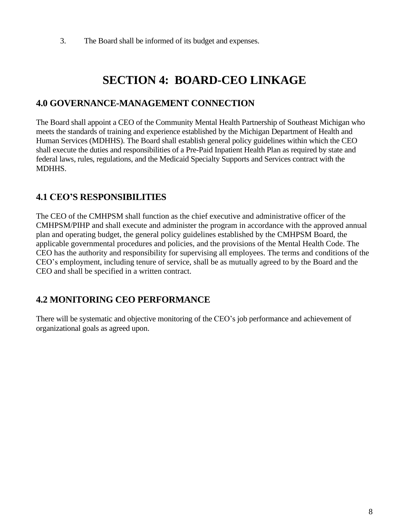3. The Board shall be informed of its budget and expenses.

# **SECTION 4: BOARD-CEO LINKAGE**

### <span id="page-7-1"></span><span id="page-7-0"></span>**4.0 GOVERNANCE-MANAGEMENT CONNECTION**

The Board shall appoint a CEO of the Community Mental Health Partnership of Southeast Michigan who meets the standards of training and experience established by the Michigan Department of Health and Human Services (MDHHS). The Board shall establish general policy guidelines within which the CEO shall execute the duties and responsibilities of a Pre-Paid Inpatient Health Plan as required by state and federal laws, rules, regulations, and the Medicaid Specialty Supports and Services contract with the MDHHS.

## <span id="page-7-2"></span>**4.1 CEO'S RESPONSIBILITIES**

The CEO of the CMHPSM shall function as the chief executive and administrative officer of the CMHPSM/PIHP and shall execute and administer the program in accordance with the approved annual plan and operating budget, the general policy guidelines established by the CMHPSM Board, the applicable governmental procedures and policies, and the provisions of the Mental Health Code. The CEO has the authority and responsibility for supervising all employees. The terms and conditions of the CEO's employment, including tenure of service, shall be as mutually agreed to by the Board and the CEO and shall be specified in a written contract.

## <span id="page-7-3"></span>**4.2 MONITORING CEO PERFORMANCE**

There will be systematic and objective monitoring of the CEO's job performance and achievement of organizational goals as agreed upon.